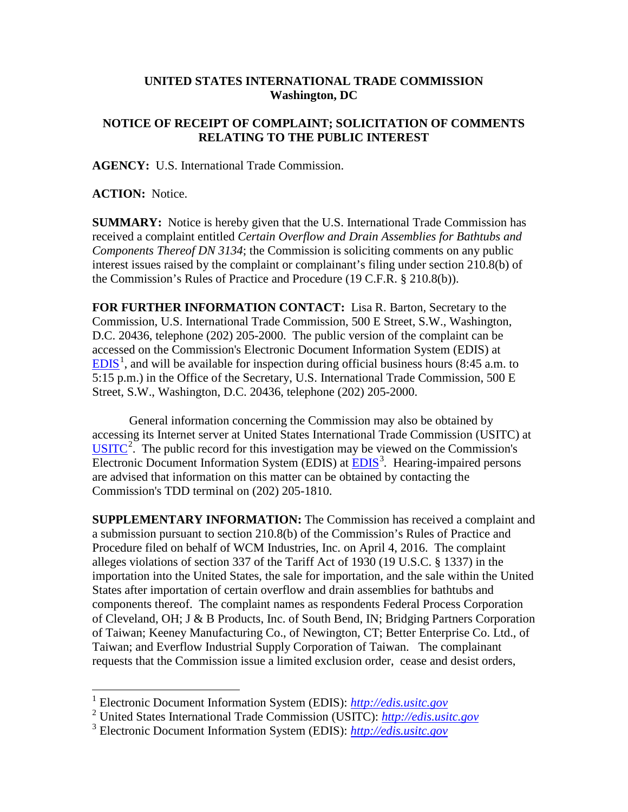## **UNITED STATES INTERNATIONAL TRADE COMMISSION Washington, DC**

## **NOTICE OF RECEIPT OF COMPLAINT; SOLICITATION OF COMMENTS RELATING TO THE PUBLIC INTEREST**

**AGENCY:** U.S. International Trade Commission.

**ACTION:** Notice.

**SUMMARY:** Notice is hereby given that the U.S. International Trade Commission has received a complaint entitled *Certain Overflow and Drain Assemblies for Bathtubs and Components Thereof DN 3134*; the Commission is soliciting comments on any public interest issues raised by the complaint or complainant's filing under section 210.8(b) of the Commission's Rules of Practice and Procedure (19 C.F.R. § 210.8(b)).

**FOR FURTHER INFORMATION CONTACT:** Lisa R. Barton, Secretary to the Commission, U.S. International Trade Commission, 500 E Street, S.W., Washington, D.C. 20436, telephone (202) 205-2000. The public version of the complaint can be accessed on the Commission's Electronic Document Information System (EDIS) at  $EDIS<sup>1</sup>$  $EDIS<sup>1</sup>$  $EDIS<sup>1</sup>$  $EDIS<sup>1</sup>$ , and will be available for inspection during official business hours (8:45 a.m. to 5:15 p.m.) in the Office of the Secretary, U.S. International Trade Commission, 500 E Street, S.W., Washington, D.C. 20436, telephone (202) 205-2000.

General information concerning the Commission may also be obtained by accessing its Internet server at United States International Trade Commission (USITC) at  $\overline{USTTC}^2$  $\overline{USTTC}^2$ . The public record for this investigation may be viewed on the Commission's Electronic Document Information System (EDIS) at **EDIS**<sup>[3](#page-0-2)</sup>. Hearing-impaired persons are advised that information on this matter can be obtained by contacting the Commission's TDD terminal on (202) 205-1810.

**SUPPLEMENTARY INFORMATION:** The Commission has received a complaint and a submission pursuant to section 210.8(b) of the Commission's Rules of Practice and Procedure filed on behalf of WCM Industries, Inc. on April 4, 2016. The complaint alleges violations of section 337 of the Tariff Act of 1930 (19 U.S.C. § 1337) in the importation into the United States, the sale for importation, and the sale within the United States after importation of certain overflow and drain assemblies for bathtubs and components thereof. The complaint names as respondents Federal Process Corporation of Cleveland, OH; J & B Products, Inc. of South Bend, IN; Bridging Partners Corporation of Taiwan; Keeney Manufacturing Co., of Newington, CT; Better Enterprise Co. Ltd., of Taiwan; and Everflow Industrial Supply Corporation of Taiwan. The complainant requests that the Commission issue a limited exclusion order, cease and desist orders,

<span id="page-0-0"></span> <sup>1</sup> Electronic Document Information System (EDIS): *[http://edis.usitc.gov](http://edis.usitc.gov/)*

<span id="page-0-1"></span><sup>2</sup> United States International Trade Commission (USITC): *[http://edis.usitc.gov](http://edis.usitc.gov/)*

<span id="page-0-2"></span><sup>3</sup> Electronic Document Information System (EDIS): *[http://edis.usitc.gov](http://edis.usitc.gov/)*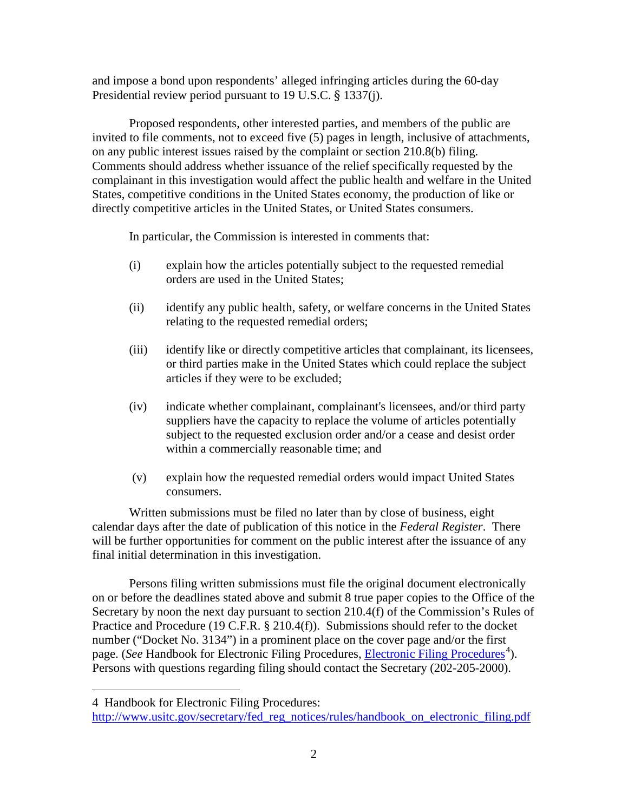and impose a bond upon respondents' alleged infringing articles during the 60-day Presidential review period pursuant to 19 U.S.C. § 1337(j).

Proposed respondents, other interested parties, and members of the public are invited to file comments, not to exceed five (5) pages in length, inclusive of attachments, on any public interest issues raised by the complaint or section 210.8(b) filing. Comments should address whether issuance of the relief specifically requested by the complainant in this investigation would affect the public health and welfare in the United States, competitive conditions in the United States economy, the production of like or directly competitive articles in the United States, or United States consumers.

In particular, the Commission is interested in comments that:

- (i) explain how the articles potentially subject to the requested remedial orders are used in the United States;
- (ii) identify any public health, safety, or welfare concerns in the United States relating to the requested remedial orders;
- (iii) identify like or directly competitive articles that complainant, its licensees, or third parties make in the United States which could replace the subject articles if they were to be excluded;
- (iv) indicate whether complainant, complainant's licensees, and/or third party suppliers have the capacity to replace the volume of articles potentially subject to the requested exclusion order and/or a cease and desist order within a commercially reasonable time; and
- (v) explain how the requested remedial orders would impact United States consumers.

Written submissions must be filed no later than by close of business, eight calendar days after the date of publication of this notice in the *Federal Register*. There will be further opportunities for comment on the public interest after the issuance of any final initial determination in this investigation.

Persons filing written submissions must file the original document electronically on or before the deadlines stated above and submit 8 true paper copies to the Office of the Secretary by noon the next day pursuant to section 210.4(f) of the Commission's Rules of Practice and Procedure (19 C.F.R. § 210.4(f)). Submissions should refer to the docket number ("Docket No. 3134") in a prominent place on the cover page and/or the first page. (*See* Handbook for [Electronic Filing Procedures](http://www.usitc.gov/secretary/fed_reg_notices/rules/handbook_on_electronic_filing.pdf), *Electronic Filing Procedures*<sup>[4](#page-1-0)</sup>). Persons with questions regarding filing should contact the Secretary (202-205-2000).

 $\overline{a}$ 

<span id="page-1-0"></span><sup>4</sup> Handbook for Electronic Filing Procedures:

[http://www.usitc.gov/secretary/fed\\_reg\\_notices/rules/handbook\\_on\\_electronic\\_filing.pdf](http://www.usitc.gov/secretary/fed_reg_notices/rules/handbook_on_electronic_filing.pdf)